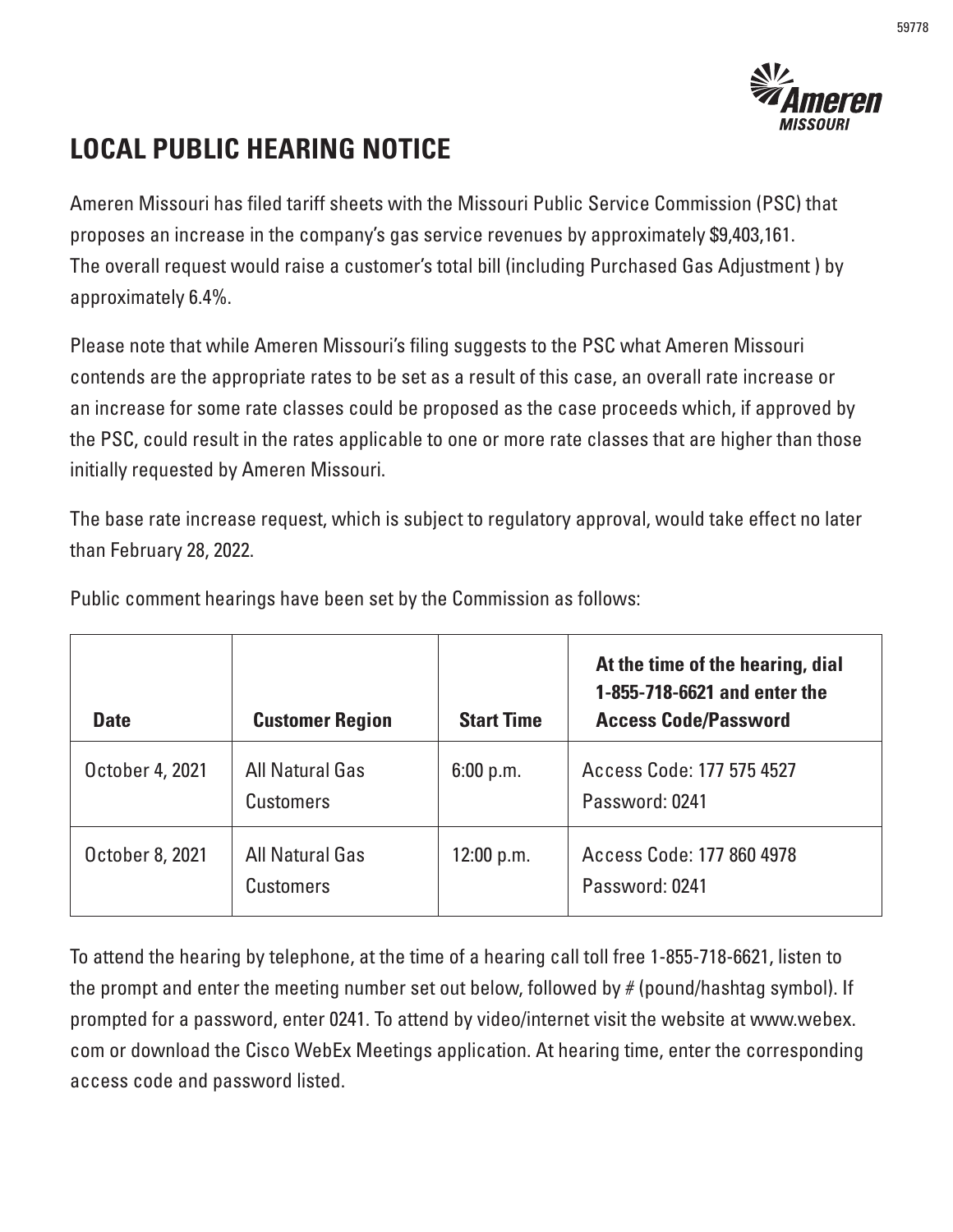

## **LOCAL PUBLIC HEARING NOTICE**

Ameren Missouri has filed tariff sheets with the Missouri Public Service Commission (PSC) that proposes an increase in the company's gas service revenues by approximately \$9,403,161. The overall request would raise a customer's total bill (including Purchased Gas Adjustment ) by approximately 6.4%.

Please note that while Ameren Missouri's filing suggests to the PSC what Ameren Missouri contends are the appropriate rates to be set as a result of this case, an overall rate increase or an increase for some rate classes could be proposed as the case proceeds which, if approved by the PSC, could result in the rates applicable to one or more rate classes that are higher than those initially requested by Ameren Missouri.

The base rate increase request, which is subject to regulatory approval, would take effect no later than February 28, 2022.

| <b>Date</b>     | <b>Customer Region</b>              | <b>Start Time</b> | At the time of the hearing, dial<br>1-855-718-6621 and enter the<br><b>Access Code/Password</b> |
|-----------------|-------------------------------------|-------------------|-------------------------------------------------------------------------------------------------|
| October 4, 2021 | All Natural Gas<br><b>Customers</b> | 6:00 p.m.         | Access Code: 177 575 4527<br>Password: 0241                                                     |
| October 8, 2021 | All Natural Gas<br><b>Customers</b> | 12:00 p.m.        | Access Code: 177 860 4978<br>Password: 0241                                                     |

Public comment hearings have been set by the Commission as follows:

To attend the hearing by telephone, at the time of a hearing call toll free 1-855-718-6621, listen to the prompt and enter the meeting number set out below, followed by # (pound/hashtag symbol). If prompted for a password, enter 0241. To attend by video/internet visit the website at www.webex. com or download the Cisco WebEx Meetings application. At hearing time, enter the corresponding access code and password listed.